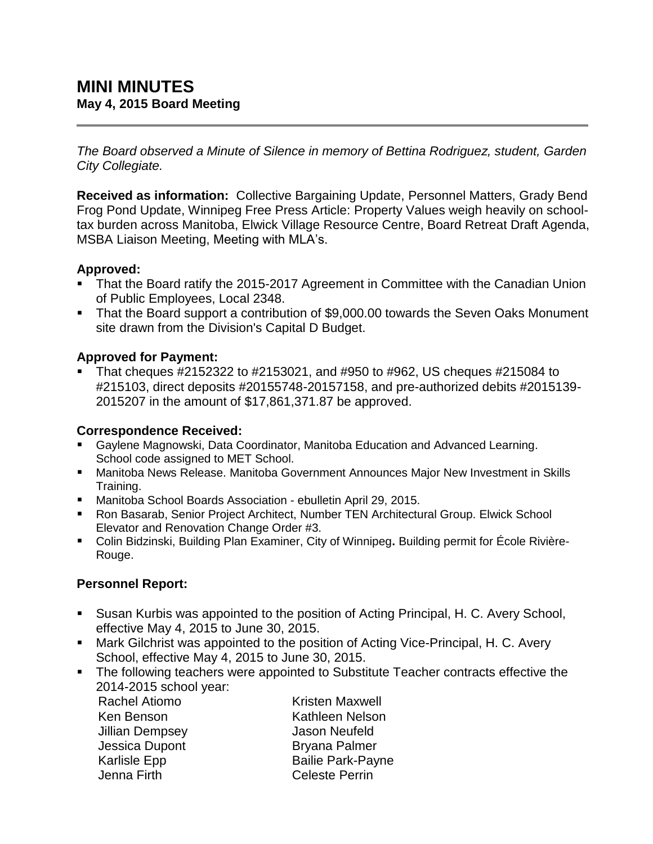*The Board observed a Minute of Silence in memory of Bettina Rodriguez, student, Garden City Collegiate.*

**Received as information:** Collective Bargaining Update, Personnel Matters, Grady Bend Frog Pond Update, Winnipeg Free Press Article: Property Values weigh heavily on schooltax burden across Manitoba, Elwick Village Resource Centre, Board Retreat Draft Agenda, MSBA Liaison Meeting, Meeting with MLA's.

## **Approved:**

- That the Board ratify the 2015-2017 Agreement in Committee with the Canadian Union of Public Employees, Local 2348.
- That the Board support a contribution of \$9,000.00 towards the Seven Oaks Monument site drawn from the Division's Capital D Budget.

## **Approved for Payment:**

 That cheques #2152322 to #2153021, and #950 to #962, US cheques #215084 to #215103, direct deposits #20155748-20157158, and pre-authorized debits #2015139- 2015207 in the amount of \$17,861,371.87 be approved.

## **Correspondence Received:**

- Gaylene Magnowski, Data Coordinator, Manitoba Education and Advanced Learning. School code assigned to MET School.
- Manitoba News Release. Manitoba Government Announces Major New Investment in Skills Training.
- Manitoba School Boards Association ebulletin April 29, 2015.
- Ron Basarab, Senior Project Architect, Number TEN Architectural Group. Elwick School Elevator and Renovation Change Order #3.
- Colin Bidzinski, Building Plan Examiner, City of Winnipeg**.** Building permit for École Rivière-Rouge.

## **Personnel Report:**

- Susan Kurbis was appointed to the position of Acting Principal, H. C. Avery School, effective May 4, 2015 to June 30, 2015.
- Mark Gilchrist was appointed to the position of Acting Vice-Principal, H. C. Avery School, effective May 4, 2015 to June 30, 2015.
- The following teachers were appointed to Substitute Teacher contracts effective the 2014-2015 school year:

Rachel Atiomo Ken Benson Jillian Dempsey Jessica Dupont Karlisle Epp Jenna Firth

Kristen Maxwell Kathleen Nelson Jason Neufeld Bryana Palmer Bailie Park-Payne Celeste Perrin